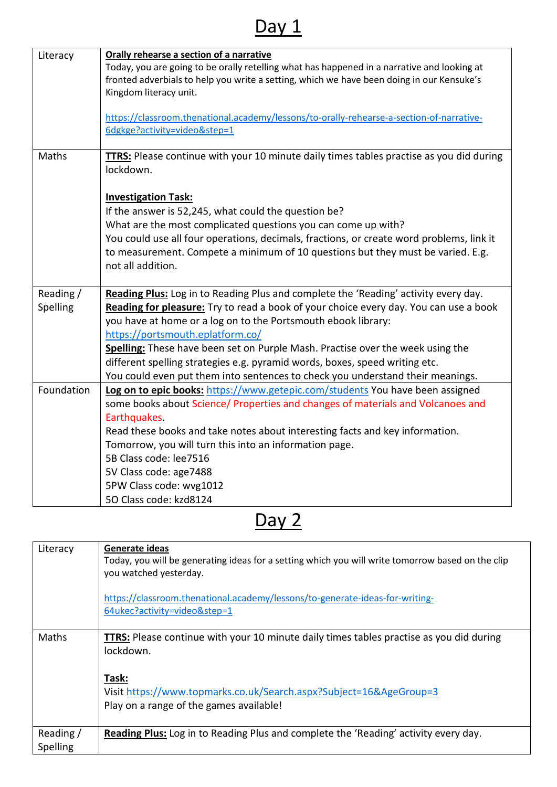## Day 1

| Literacy   | Orally rehearse a section of a narrative<br>Today, you are going to be orally retelling what has happened in a narrative and looking at |
|------------|-----------------------------------------------------------------------------------------------------------------------------------------|
|            | fronted adverbials to help you write a setting, which we have been doing in our Kensuke's                                               |
|            | Kingdom literacy unit.                                                                                                                  |
|            |                                                                                                                                         |
|            | https://classroom.thenational.academy/lessons/to-orally-rehearse-a-section-of-narrative-                                                |
|            | 6dgkge?activity=video&step=1                                                                                                            |
|            |                                                                                                                                         |
| Maths      | <b>TTRS:</b> Please continue with your 10 minute daily times tables practise as you did during                                          |
|            | lockdown.                                                                                                                               |
|            |                                                                                                                                         |
|            | <b>Investigation Task:</b>                                                                                                              |
|            | If the answer is 52,245, what could the question be?                                                                                    |
|            | What are the most complicated questions you can come up with?                                                                           |
|            | You could use all four operations, decimals, fractions, or create word problems, link it                                                |
|            | to measurement. Compete a minimum of 10 questions but they must be varied. E.g.                                                         |
|            | not all addition.                                                                                                                       |
|            |                                                                                                                                         |
| Reading /  | Reading Plus: Log in to Reading Plus and complete the 'Reading' activity every day.                                                     |
| Spelling   | Reading for pleasure: Try to read a book of your choice every day. You can use a book                                                   |
|            | you have at home or a log on to the Portsmouth ebook library:                                                                           |
|            | https://portsmouth.eplatform.co/                                                                                                        |
|            | Spelling: These have been set on Purple Mash. Practise over the week using the                                                          |
|            |                                                                                                                                         |
|            | different spelling strategies e.g. pyramid words, boxes, speed writing etc.                                                             |
|            | You could even put them into sentences to check you understand their meanings.                                                          |
| Foundation | Log on to epic books: https://www.getepic.com/students You have been assigned                                                           |
|            | some books about Science/ Properties and changes of materials and Volcanoes and                                                         |
|            | Earthquakes.                                                                                                                            |
|            | Read these books and take notes about interesting facts and key information.                                                            |
|            | Tomorrow, you will turn this into an information page.                                                                                  |
|            | 5B Class code: lee7516                                                                                                                  |
|            | 5V Class code: age7488                                                                                                                  |
|            | 5PW Class code: wvg1012                                                                                                                 |
|            | 50 Class code: kzd8124                                                                                                                  |

Day 2

| Literacy              | Generate ideas<br>Today, you will be generating ideas for a setting which you will write tomorrow based on the clip<br>you watched yesterday. |
|-----------------------|-----------------------------------------------------------------------------------------------------------------------------------------------|
|                       | https://classroom.thenational.academy/lessons/to-generate-ideas-for-writing-<br>64ukec?activity=video&step=1                                  |
| Maths                 | <b>TTRS:</b> Please continue with your 10 minute daily times tables practise as you did during<br>lockdown.                                   |
|                       | Task:<br>Visit https://www.topmarks.co.uk/Search.aspx?Subject=16&AgeGroup=3<br>Play on a range of the games available!                        |
| Reading /<br>Spelling | Reading Plus: Log in to Reading Plus and complete the 'Reading' activity every day.                                                           |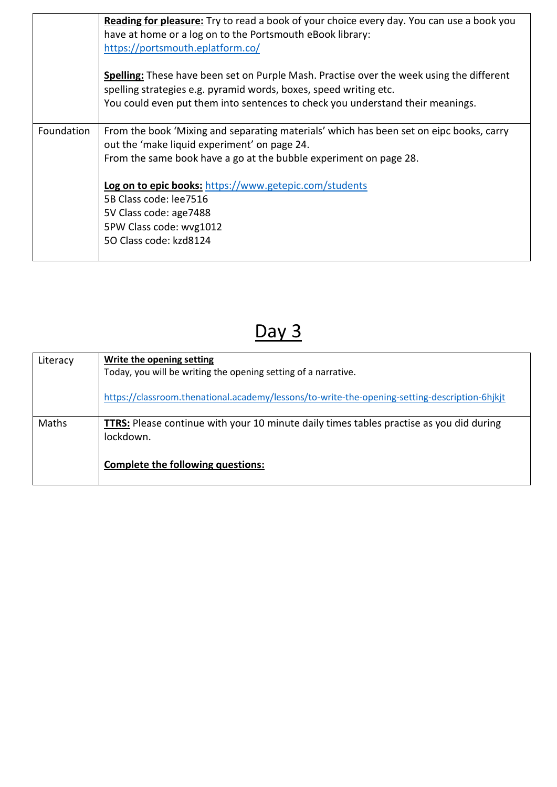|            | Reading for pleasure: Try to read a book of your choice every day. You can use a book you<br>have at home or a log on to the Portsmouth eBook library:<br>https://portsmouth.eplatform.co/                                                             |
|------------|--------------------------------------------------------------------------------------------------------------------------------------------------------------------------------------------------------------------------------------------------------|
|            | <b>Spelling:</b> These have been set on Purple Mash. Practise over the week using the different<br>spelling strategies e.g. pyramid words, boxes, speed writing etc.<br>You could even put them into sentences to check you understand their meanings. |
| Foundation | From the book 'Mixing and separating materials' which has been set on eipc books, carry<br>out the 'make liquid experiment' on page 24.<br>From the same book have a go at the bubble experiment on page 28.                                           |
|            | <b>Log on to epic books:</b> https://www.getepic.com/students<br>5B Class code: lee7516<br>5V Class code: age7488<br>5PW Class code: wvg1012<br>50 Class code: kzd8124                                                                                 |

## Day 3

| Literacy | Write the opening setting                                                                                   |
|----------|-------------------------------------------------------------------------------------------------------------|
|          | Today, you will be writing the opening setting of a narrative.                                              |
|          | https://classroom.thenational.academy/lessons/to-write-the-opening-setting-description-6hjkjt               |
| Maths    | <b>TTRS:</b> Please continue with your 10 minute daily times tables practise as you did during<br>lockdown. |
|          | Complete the following questions:                                                                           |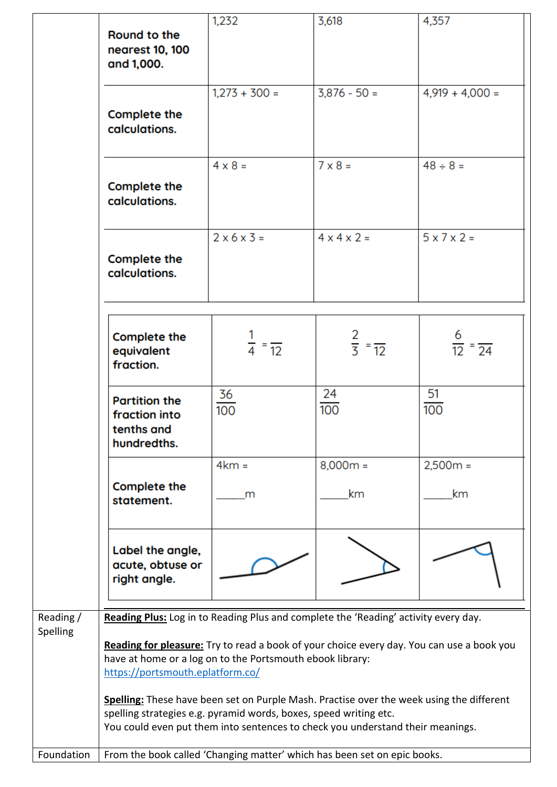|                       | Round to the<br>nearest 10, 100<br>and 1,000.                                                                                                                                                                                                                                                                                                                                                                                                                                                                                        | 1,232                        | 3,618                      | 4,357                         |
|-----------------------|--------------------------------------------------------------------------------------------------------------------------------------------------------------------------------------------------------------------------------------------------------------------------------------------------------------------------------------------------------------------------------------------------------------------------------------------------------------------------------------------------------------------------------------|------------------------------|----------------------------|-------------------------------|
|                       | Complete the<br>calculations.                                                                                                                                                                                                                                                                                                                                                                                                                                                                                                        | $1,273 + 300 =$              | $3,876 - 50 =$             | $4,919 + 4,000 =$             |
|                       | Complete the<br>calculations.                                                                                                                                                                                                                                                                                                                                                                                                                                                                                                        | $4 \times 8 =$               | $7 \times 8 =$             | $48 \div 8 =$                 |
|                       | Complete the<br>calculations.                                                                                                                                                                                                                                                                                                                                                                                                                                                                                                        | $2 \times 6 \times 3 =$      | $4 \times 4 \times 2 =$    | $5 \times 7 \times 2 =$       |
|                       | Complete the<br>equivalent<br>fraction.                                                                                                                                                                                                                                                                                                                                                                                                                                                                                              | $\frac{1}{4} = \frac{1}{12}$ | $rac{2}{3} = \frac{1}{12}$ | $\frac{6}{12} = \frac{6}{24}$ |
|                       | <b>Partition the</b><br>fraction into<br>tenths and<br>hundredths.                                                                                                                                                                                                                                                                                                                                                                                                                                                                   | 36<br>100                    | 24<br>100                  | 51<br>100                     |
|                       | Complete the<br>statement.                                                                                                                                                                                                                                                                                                                                                                                                                                                                                                           | $4km =$<br>m                 | $8,000m =$<br>km           | $2,500m =$<br>km              |
|                       | Label the angle,<br>acute, obtuse or<br>right angle.                                                                                                                                                                                                                                                                                                                                                                                                                                                                                 |                              |                            |                               |
| Reading /<br>Spelling | Reading Plus: Log in to Reading Plus and complete the 'Reading' activity every day.<br>Reading for pleasure: Try to read a book of your choice every day. You can use a book you<br>have at home or a log on to the Portsmouth ebook library:<br>https://portsmouth.eplatform.co/<br>Spelling: These have been set on Purple Mash. Practise over the week using the different<br>spelling strategies e.g. pyramid words, boxes, speed writing etc.<br>You could even put them into sentences to check you understand their meanings. |                              |                            |                               |
| Foundation            | From the book called 'Changing matter' which has been set on epic books.                                                                                                                                                                                                                                                                                                                                                                                                                                                             |                              |                            |                               |